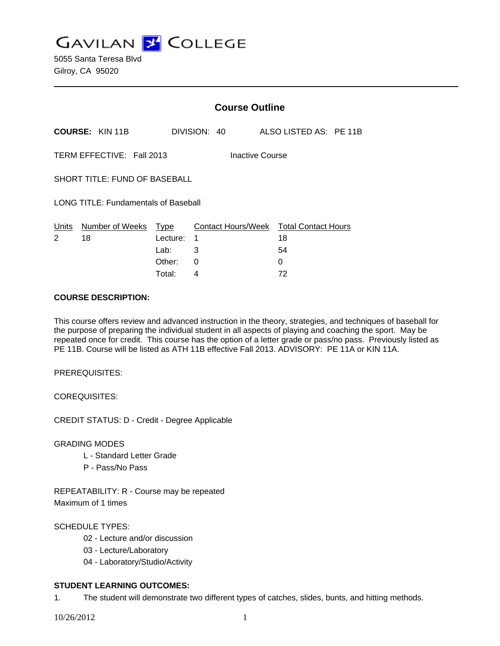**GAVILAN Z COLLEGE** 

|                                              |                        | <b>Course Outline</b>    |              |  |                    |   |                                        |  |  |
|----------------------------------------------|------------------------|--------------------------|--------------|--|--------------------|---|----------------------------------------|--|--|
|                                              | <b>COURSE: KIN 11B</b> |                          | DIVISION: 40 |  |                    |   | ALSO LISTED AS: PE 11B                 |  |  |
| TERM EFFECTIVE: Fall 2013<br>Inactive Course |                        |                          |              |  |                    |   |                                        |  |  |
| SHORT TITLE: FUND OF BASEBALL                |                        |                          |              |  |                    |   |                                        |  |  |
| <b>LONG TITLE: Fundamentals of Baseball</b>  |                        |                          |              |  |                    |   |                                        |  |  |
| Units<br>2                                   | Number of Weeks<br>18  | Type<br>Lecture:<br>Lab: | 1<br>3       |  | Contact Hours/Week |   | <b>Total Contact Hours</b><br>18<br>54 |  |  |
|                                              |                        | Other:                   | 0            |  |                    | 0 |                                        |  |  |

Total: 4 72

### **COURSE DESCRIPTION:**

This course offers review and advanced instruction in the theory, strategies, and techniques of baseball for the purpose of preparing the individual student in all aspects of playing and coaching the sport. May be repeated once for credit. This course has the option of a letter grade or pass/no pass. Previously listed as PE 11B. Course will be listed as ATH 11B effective Fall 2013. ADVISORY: PE 11A or KIN 11A.

PREREQUISITES:

COREQUISITES:

CREDIT STATUS: D - Credit - Degree Applicable

GRADING MODES

- L Standard Letter Grade
- P Pass/No Pass

REPEATABILITY: R - Course may be repeated Maximum of 1 times

## SCHEDULE TYPES:

- 02 Lecture and/or discussion
- 03 Lecture/Laboratory
- 04 Laboratory/Studio/Activity

## **STUDENT LEARNING OUTCOMES:**

1. The student will demonstrate two different types of catches, slides, bunts, and hitting methods.

10/26/2012 1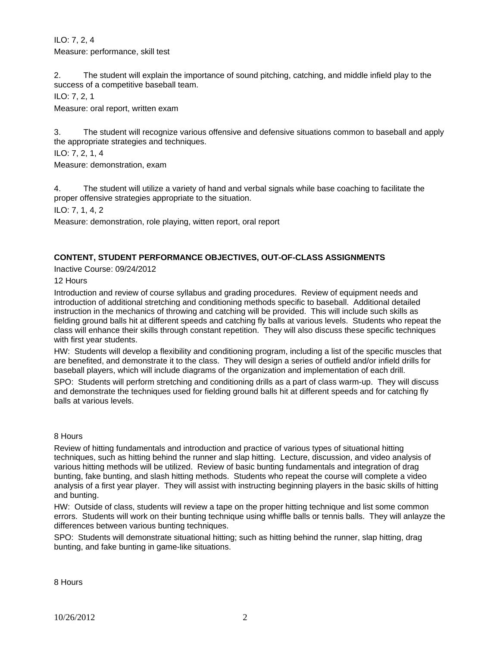ILO: 7, 2, 4 Measure: performance, skill test

2. The student will explain the importance of sound pitching, catching, and middle infield play to the success of a competitive baseball team.

ILO: 7, 2, 1

Measure: oral report, written exam

3. The student will recognize various offensive and defensive situations common to baseball and apply the appropriate strategies and techniques.

ILO: 7, 2, 1, 4

Measure: demonstration, exam

4. The student will utilize a variety of hand and verbal signals while base coaching to facilitate the proper offensive strategies appropriate to the situation.

ILO: 7, 1, 4, 2

Measure: demonstration, role playing, witten report, oral report

## **CONTENT, STUDENT PERFORMANCE OBJECTIVES, OUT-OF-CLASS ASSIGNMENTS**

Inactive Course: 09/24/2012

12 Hours

Introduction and review of course syllabus and grading procedures. Review of equipment needs and introduction of additional stretching and conditioning methods specific to baseball. Additional detailed instruction in the mechanics of throwing and catching will be provided. This will include such skills as fielding ground balls hit at different speeds and catching fly balls at various levels. Students who repeat the class will enhance their skills through constant repetition. They will also discuss these specific techniques with first year students.

HW: Students will develop a flexibility and conditioning program, including a list of the specific muscles that are benefited, and demonstrate it to the class. They will design a series of outfield and/or infield drills for baseball players, which will include diagrams of the organization and implementation of each drill.

SPO: Students will perform stretching and conditioning drills as a part of class warm-up. They will discuss and demonstrate the techniques used for fielding ground balls hit at different speeds and for catching fly balls at various levels.

8 Hours

Review of hitting fundamentals and introduction and practice of various types of situational hitting techniques, such as hitting behind the runner and slap hitting. Lecture, discussion, and video analysis of various hitting methods will be utilized. Review of basic bunting fundamentals and integration of drag bunting, fake bunting, and slash hitting methods. Students who repeat the course will complete a video analysis of a first year player. They will assist with instructing beginning players in the basic skills of hitting and bunting.

HW: Outside of class, students will review a tape on the proper hitting technique and list some common errors. Students will work on their bunting technique using whiffle balls or tennis balls. They will anlayze the differences between various bunting techniques.

SPO: Students will demonstrate situational hitting; such as hitting behind the runner, slap hitting, drag bunting, and fake bunting in game-like situations.

8 Hours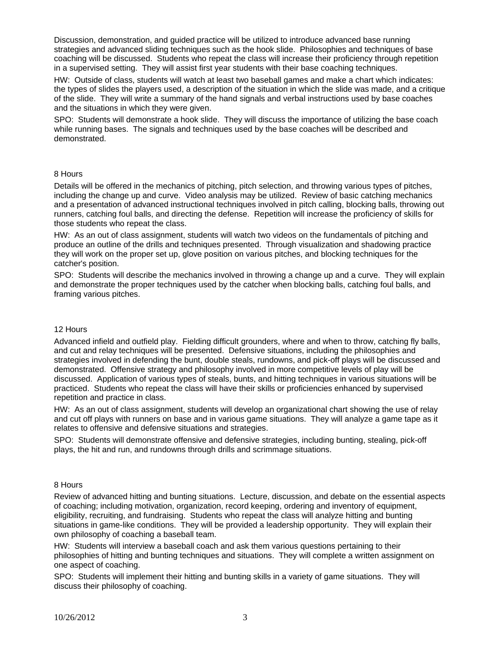Discussion, demonstration, and guided practice will be utilized to introduce advanced base running strategies and advanced sliding techniques such as the hook slide. Philosophies and techniques of base coaching will be discussed. Students who repeat the class will increase their proficiency through repetition in a supervised setting. They will assist first year students with their base coaching techniques.

HW: Outside of class, students will watch at least two baseball games and make a chart which indicates: the types of slides the players used, a description of the situation in which the slide was made, and a critique of the slide. They will write a summary of the hand signals and verbal instructions used by base coaches and the situations in which they were given.

SPO: Students will demonstrate a hook slide. They will discuss the importance of utilizing the base coach while running bases. The signals and techniques used by the base coaches will be described and demonstrated.

### 8 Hours

Details will be offered in the mechanics of pitching, pitch selection, and throwing various types of pitches, including the change up and curve. Video analysis may be utilized. Review of basic catching mechanics and a presentation of advanced instructional techniques involved in pitch calling, blocking balls, throwing out runners, catching foul balls, and directing the defense. Repetition will increase the proficiency of skills for those students who repeat the class.

HW: As an out of class assignment, students will watch two videos on the fundamentals of pitching and produce an outline of the drills and techniques presented. Through visualization and shadowing practice they will work on the proper set up, glove position on various pitches, and blocking techniques for the catcher's position.

SPO: Students will describe the mechanics involved in throwing a change up and a curve. They will explain and demonstrate the proper techniques used by the catcher when blocking balls, catching foul balls, and framing various pitches.

#### 12 Hours

Advanced infield and outfield play. Fielding difficult grounders, where and when to throw, catching fly balls, and cut and relay techniques will be presented. Defensive situations, including the philosophies and strategies involved in defending the bunt, double steals, rundowns, and pick-off plays will be discussed and demonstrated. Offensive strategy and philosophy involved in more competitive levels of play will be discussed. Application of various types of steals, bunts, and hitting techniques in various situations will be practiced. Students who repeat the class will have their skills or proficiencies enhanced by supervised repetition and practice in class.

HW: As an out of class assignment, students will develop an organizational chart showing the use of relay and cut off plays with runners on base and in various game situations. They will analyze a game tape as it relates to offensive and defensive situations and strategies.

SPO: Students will demonstrate offensive and defensive strategies, including bunting, stealing, pick-off plays, the hit and run, and rundowns through drills and scrimmage situations.

#### 8 Hours

Review of advanced hitting and bunting situations. Lecture, discussion, and debate on the essential aspects of coaching; including motivation, organization, record keeping, ordering and inventory of equipment, eligibility, recruiting, and fundraising. Students who repeat the class will analyze hitting and bunting situations in game-like conditions. They will be provided a leadership opportunity. They will explain their own philosophy of coaching a baseball team.

HW: Students will interview a baseball coach and ask them various questions pertaining to their philosophies of hitting and bunting techniques and situations. They will complete a written assignment on one aspect of coaching.

SPO: Students will implement their hitting and bunting skills in a variety of game situations. They will discuss their philosophy of coaching.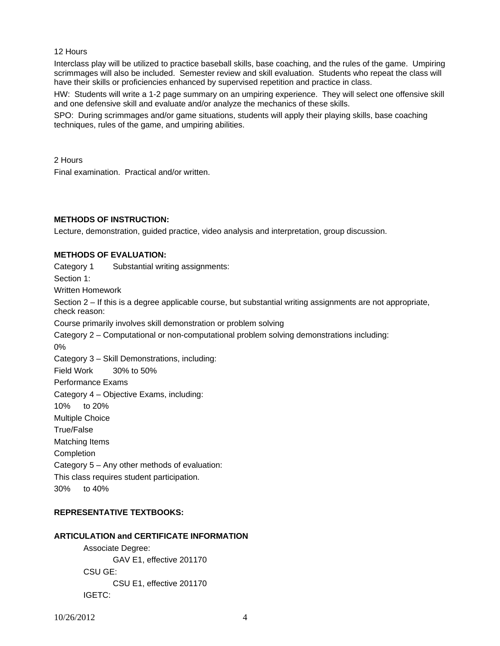#### 12 Hours

Interclass play will be utilized to practice baseball skills, base coaching, and the rules of the game. Umpiring scrimmages will also be included. Semester review and skill evaluation. Students who repeat the class will have their skills or proficiencies enhanced by supervised repetition and practice in class.

HW: Students will write a 1-2 page summary on an umpiring experience. They will select one offensive skill and one defensive skill and evaluate and/or analyze the mechanics of these skills.

SPO: During scrimmages and/or game situations, students will apply their playing skills, base coaching techniques, rules of the game, and umpiring abilities.

2 Hours

Final examination. Practical and/or written.

# **METHODS OF INSTRUCTION:**

Lecture, demonstration, guided practice, video analysis and interpretation, group discussion.

## **METHODS OF EVALUATION:**

Category 1 Substantial writing assignments:

Section 1:

Written Homework

Section 2 – If this is a degree applicable course, but substantial writing assignments are not appropriate, check reason:

Course primarily involves skill demonstration or problem solving

Category 2 – Computational or non-computational problem solving demonstrations including: 0%

Category 3 – Skill Demonstrations, including:

Field Work 30% to 50%

Performance Exams

Category 4 – Objective Exams, including:

10% to 20%

Multiple Choice

True/False

Matching Items

Completion

Category 5 – Any other methods of evaluation:

This class requires student participation.

30% to 40%

## **REPRESENTATIVE TEXTBOOKS:**

## **ARTICULATION and CERTIFICATE INFORMATION**

 Associate Degree: GAV E1, effective 201170 CSU GE: CSU E1, effective 201170 IGETC: